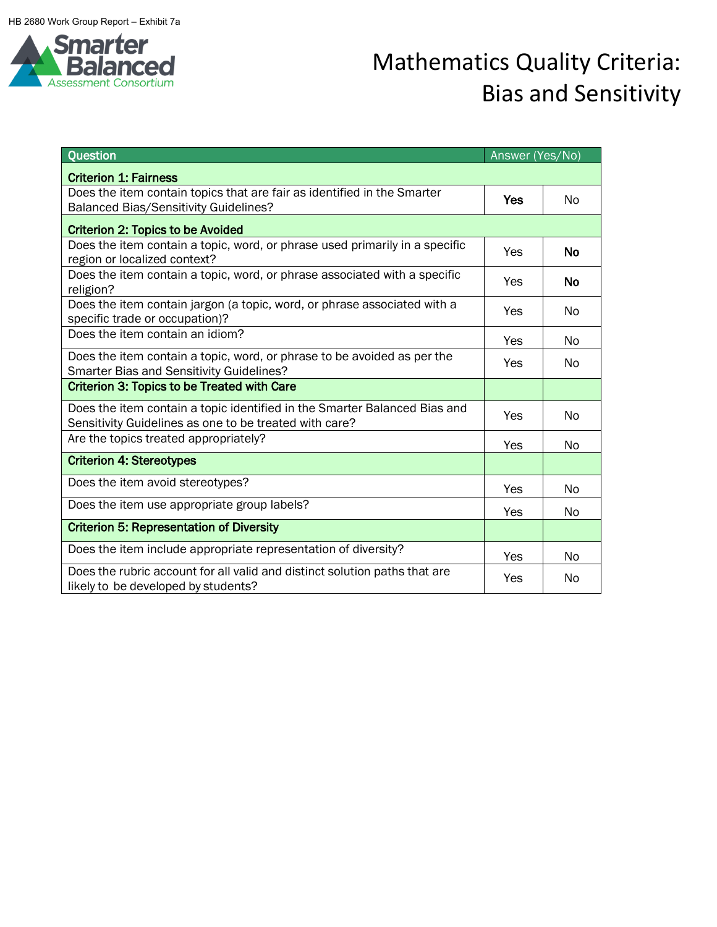

## Mathematics Quality Criteria: Bias and Sensitivity

| Question                                                                                                                            | Answer (Yes/No) |           |  |
|-------------------------------------------------------------------------------------------------------------------------------------|-----------------|-----------|--|
| <b>Criterion 1: Fairness</b>                                                                                                        |                 |           |  |
| Does the item contain topics that are fair as identified in the Smarter<br><b>Balanced Bias/Sensitivity Guidelines?</b>             | Yes             | <b>No</b> |  |
| <b>Criterion 2: Topics to be Avoided</b>                                                                                            |                 |           |  |
| Does the item contain a topic, word, or phrase used primarily in a specific<br>region or localized context?                         | Yes             | <b>No</b> |  |
| Does the item contain a topic, word, or phrase associated with a specific<br>religion?                                              | Yes             | No        |  |
| Does the item contain jargon (a topic, word, or phrase associated with a<br>specific trade or occupation)?                          | Yes             | No.       |  |
| Does the item contain an idiom?                                                                                                     | Yes             | No.       |  |
| Does the item contain a topic, word, or phrase to be avoided as per the<br>Smarter Bias and Sensitivity Guidelines?                 | Yes             | <b>No</b> |  |
| <b>Criterion 3: Topics to be Treated with Care</b>                                                                                  |                 |           |  |
| Does the item contain a topic identified in the Smarter Balanced Bias and<br>Sensitivity Guidelines as one to be treated with care? | Yes             | <b>No</b> |  |
| Are the topics treated appropriately?                                                                                               | Yes             | No.       |  |
| <b>Criterion 4: Stereotypes</b>                                                                                                     |                 |           |  |
| Does the item avoid stereotypes?                                                                                                    | Yes             | No        |  |
| Does the item use appropriate group labels?                                                                                         | Yes             | No.       |  |
| <b>Criterion 5: Representation of Diversity</b>                                                                                     |                 |           |  |
| Does the item include appropriate representation of diversity?                                                                      | Yes             | <b>No</b> |  |
| Does the rubric account for all valid and distinct solution paths that are<br>likely to be developed by students?                   | Yes             | No        |  |